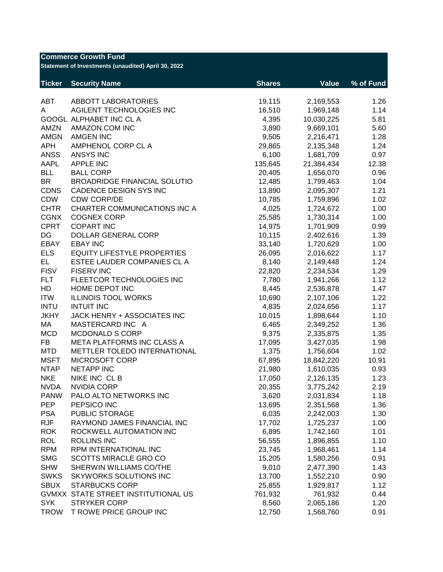| <b>Commerce Growth Fund</b><br>Statement of Investments (unaudited) April 30, 2022 |                                     |               |              |           |  |  |
|------------------------------------------------------------------------------------|-------------------------------------|---------------|--------------|-----------|--|--|
| <b>Ticker</b>                                                                      | <b>Security Name</b>                | <b>Shares</b> | <b>Value</b> | % of Fund |  |  |
| <b>ABT</b>                                                                         | <b>ABBOTT LABORATORIES</b>          | 19,115        | 2,169,553    | 1.26      |  |  |
| A                                                                                  | AGILENT TECHNOLOGIES INC            | 16,510        | 1,969,148    | 1.14      |  |  |
|                                                                                    | GOOGL ALPHABET INC CL A             | 4,395         | 10,030,225   | 5.81      |  |  |
| AMZN                                                                               | AMAZON.COM INC                      | 3,890         | 9,669,101    | 5.60      |  |  |
| <b>AMGN</b>                                                                        | <b>AMGEN INC</b>                    | 9,505         | 2,216,471    | 1.28      |  |  |
| <b>APH</b>                                                                         | AMPHENOL CORP CL A                  | 29,865        | 2,135,348    | 1.24      |  |  |
| <b>ANSS</b>                                                                        | <b>ANSYS INC</b>                    | 6,100         | 1,681,709    | 0.97      |  |  |
| AAPL                                                                               | <b>APPLE INC</b>                    | 135,645       | 21,384,434   | 12.38     |  |  |
| <b>BLL</b>                                                                         | <b>BALL CORP</b>                    | 20,405        | 1,656,070    | 0.96      |  |  |
| <b>BR</b>                                                                          | <b>BROADRIDGE FINANCIAL SOLUTIO</b> | 12,485        | 1,799,463    | 1.04      |  |  |
| <b>CDNS</b>                                                                        | CADENCE DESIGN SYS INC              | 13,890        | 2,095,307    | 1.21      |  |  |
| CDW                                                                                | <b>CDW CORP/DE</b>                  | 10,785        | 1,759,896    | 1.02      |  |  |
| <b>CHTR</b>                                                                        | CHARTER COMMUNICATIONS INC A        | 4,025         | 1,724,672    | 1.00      |  |  |
| <b>CGNX</b>                                                                        | <b>COGNEX CORP</b>                  | 25,585        | 1,730,314    | 1.00      |  |  |
| <b>CPRT</b>                                                                        | <b>COPART INC</b>                   | 14,975        | 1,701,909    | 0.99      |  |  |
| DG                                                                                 | DOLLAR GENERAL CORP                 | 10,115        | 2,402,616    | 1.39      |  |  |
| EBAY                                                                               | <b>EBAY INC</b>                     | 33,140        | 1,720,629    | 1.00      |  |  |
| <b>ELS</b>                                                                         | <b>EQUITY LIFESTYLE PROPERTIES</b>  | 26,095        | 2,016,622    | 1.17      |  |  |
| EL.                                                                                | ESTEE LAUDER COMPANIES CL A         | 8,140         | 2,149,448    | 1.24      |  |  |
| <b>FISV</b>                                                                        | <b>FISERV INC</b>                   | 22,820        | 2,234,534    | 1.29      |  |  |
| <b>FLT</b>                                                                         | FLEETCOR TECHNOLOGIES INC           | 7,780         | 1,941,266    | 1.12      |  |  |
| HD                                                                                 | HOME DEPOT INC                      | 8,445         | 2,536,878    | 1.47      |  |  |
| <b>ITW</b>                                                                         | <b>ILLINOIS TOOL WORKS</b>          | 10,690        | 2,107,106    | 1.22      |  |  |
| <b>INTU</b>                                                                        | <b>INTUIT INC</b>                   | 4,835         | 2,024,656    | 1.17      |  |  |
| <b>JKHY</b>                                                                        | JACK HENRY + ASSOCIATES INC         | 10,015        | 1,898,644    | 1.10      |  |  |
| МA                                                                                 | MASTERCARD INC A                    | 6,465         | 2,349,252    | 1.36      |  |  |
| <b>MCD</b>                                                                         | <b>MCDONALD S CORP</b>              | 9,375         | 2,335,875    | 1.35      |  |  |
| FB                                                                                 | META PLATFORMS INC CLASS A          | 17,095        | 3,427,035    | 1.98      |  |  |
| <b>MTD</b>                                                                         | METTLER TOLEDO INTERNATIONAL        | 1,375         | 1,756,604    | 1.02      |  |  |
| <b>MSFT</b>                                                                        | MICROSOFT CORP                      | 67,895        | 18,842,220   | 10.91     |  |  |
| <b>NTAP</b>                                                                        | <b>NETAPP INC</b>                   | 21,980        | 1,610,035    | 0.93      |  |  |
| <b>NKE</b>                                                                         | NIKE INC CLB                        | 17,050        | 2,126,135    | 1.23      |  |  |
| <b>NVDA</b>                                                                        | <b>NVIDIA CORP</b>                  | 20,355        | 3,775,242    | 2.19      |  |  |
| <b>PANW</b>                                                                        | PALO ALTO NETWORKS INC              | 3,620         | 2,031,834    | 1.18      |  |  |
| <b>PEP</b>                                                                         | PEPSICO INC                         | 13,695        | 2,351,568    | 1.36      |  |  |
| <b>PSA</b>                                                                         | PUBLIC STORAGE                      | 6,035         | 2,242,003    | 1.30      |  |  |
| <b>RJF</b>                                                                         | RAYMOND JAMES FINANCIAL INC         | 17,702        | 1,725,237    | 1.00      |  |  |
| <b>ROK</b>                                                                         | ROCKWELL AUTOMATION INC             | 6,895         | 1,742,160    | 1.01      |  |  |
| <b>ROL</b>                                                                         | <b>ROLLINS INC</b>                  | 56,555        | 1,896,855    | 1.10      |  |  |
| <b>RPM</b>                                                                         | RPM INTERNATIONAL INC               | 23,745        | 1,968,461    | 1.14      |  |  |
| <b>SMG</b>                                                                         | <b>SCOTTS MIRACLE GRO CO</b>        | 15,205        | 1,580,256    | 0.91      |  |  |
| <b>SHW</b>                                                                         | SHERWIN WILLIAMS CO/THE             | 9,010         | 2,477,390    | 1.43      |  |  |
| <b>SWKS</b>                                                                        | <b>SKYWORKS SOLUTIONS INC</b>       | 13,700        | 1,552,210    | 0.90      |  |  |
| <b>SBUX</b>                                                                        | <b>STARBUCKS CORP</b>               | 25,855        | 1,929,817    | 1.12      |  |  |
| <b>GVMXX</b>                                                                       | STATE STREET INSTITUTIONAL US       | 761,932       | 761,932      | 0.44      |  |  |
| <b>SYK</b>                                                                         | <b>STRYKER CORP</b>                 | 8,560         | 2,065,186    | 1.20      |  |  |
| <b>TROW</b>                                                                        | T ROWE PRICE GROUP INC              | 12,750        | 1,568,760    | 0.91      |  |  |